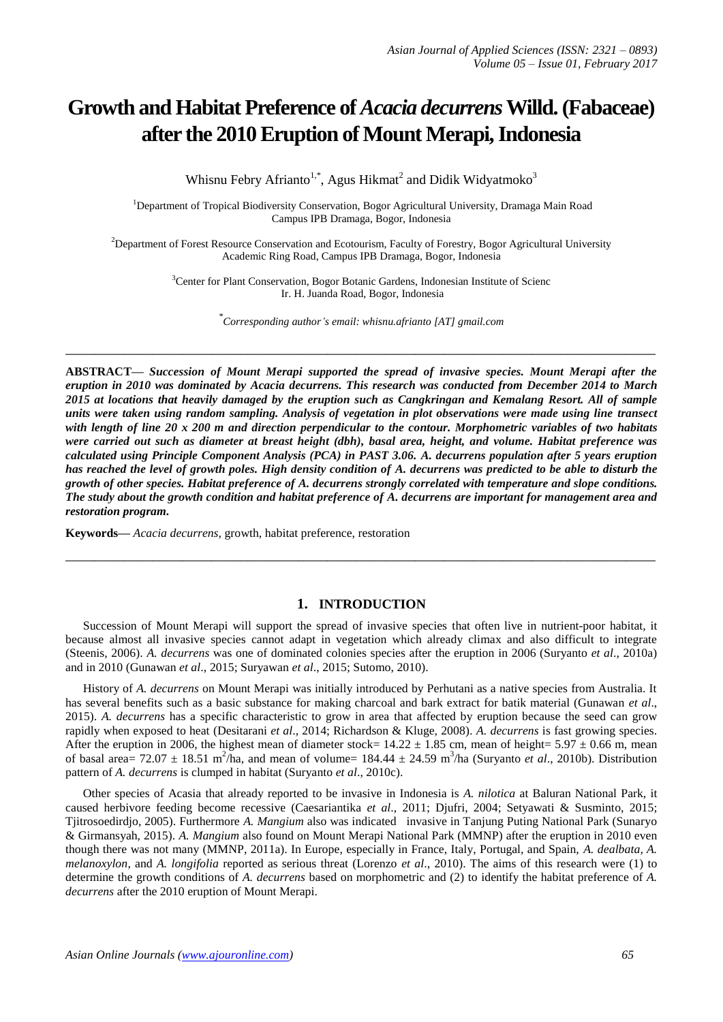# **Growth and Habitat Preference of** *Acacia decurrens***Willd. (Fabaceae) after the 2010 Eruption of Mount Merapi, Indonesia**

Whisnu Febry Afrianto<sup>1,\*</sup>, Agus Hikmat<sup>2</sup> and Didik Widyatmoko<sup>3</sup>

<sup>1</sup>Department of Tropical Biodiversity Conservation, Bogor Agricultural University, Dramaga Main Road Campus IPB Dramaga, Bogor, Indonesia

<sup>2</sup>Department of Forest Resource Conservation and Ecotourism, Faculty of Forestry, Bogor Agricultural University Academic Ring Road, Campus IPB Dramaga, Bogor, Indonesia

> <sup>3</sup>Center for Plant Conservation, Bogor Botanic Gardens, Indonesian Institute of Scienc Ir. H. Juanda Road, Bogor, Indonesia

> > *\* Corresponding author's email: whisnu.afrianto [AT] gmail.com*

**\_\_\_\_\_\_\_\_\_\_\_\_\_\_\_\_\_\_\_\_\_\_\_\_\_\_\_\_\_\_\_\_\_\_\_\_\_\_\_\_\_\_\_\_\_\_\_\_\_\_\_\_\_\_\_\_\_\_\_\_\_\_\_\_\_\_\_\_\_\_\_\_\_\_\_\_\_\_\_\_\_**

**ABSTRACT—** *Succession of Mount Merapi supported the spread of invasive species. Mount Merapi after the eruption in 2010 was dominated by Acacia decurrens. This research was conducted from December 2014 to March 2015 at locations that heavily damaged by the eruption such as Cangkringan and Kemalang Resort. All of sample units were taken using random sampling. Analysis of vegetation in plot observations were made using line transect with length of line 20 x 200 m and direction perpendicular to the contour. Morphometric variables of two habitats were carried out such as diameter at breast height (dbh), basal area, height, and volume. Habitat preference was calculated using Principle Component Analysis (PCA) in PAST 3.06. A. decurrens population after 5 years eruption has reached the level of growth poles. High density condition of A. decurrens was predicted to be able to disturb the growth of other species. Habitat preference of A. decurrens strongly correlated with temperature and slope conditions. The study about the growth condition and habitat preference of A. decurrens are important for management area and restoration program.*

**Keywords—** *Acacia decurrens*, growth, habitat preference, restoration

## **1. INTRODUCTION**

**\_\_\_\_\_\_\_\_\_\_\_\_\_\_\_\_\_\_\_\_\_\_\_\_\_\_\_\_\_\_\_\_\_\_\_\_\_\_\_\_\_\_\_\_\_\_\_\_\_\_\_\_\_\_\_\_\_\_\_\_\_\_\_\_\_\_\_\_\_\_\_\_\_\_\_\_\_\_\_\_\_**

Succession of Mount Merapi will support the spread of invasive species that often live in nutrient-poor habitat, it because almost all invasive species cannot adapt in vegetation which already climax and also difficult to integrate (Steenis, 2006). *A. decurrens* was one of dominated colonies species after the eruption in 2006 (Suryanto *et al*., 2010a) and in 2010 (Gunawan *et al*., 2015; Suryawan *et al*., 2015; Sutomo, 2010).

History of *A. decurrens* on Mount Merapi was initially introduced by Perhutani as a native species from Australia. It has several benefits such as a basic substance for making charcoal and bark extract for batik material (Gunawan *et al*., 2015). *A. decurrens* has a specific characteristic to grow in area that affected by eruption because the seed can grow rapidly when exposed to heat (Desitarani *et al*., 2014; Richardson & Kluge, 2008). *A. decurrens* is fast growing species. After the eruption in 2006, the highest mean of diameter stock=  $14.22 \pm 1.85$  cm, mean of height=  $5.97 \pm 0.66$  m, mean of basal area=  $72.07 \pm 18.51$  m<sup>2</sup>/ha, and mean of volume=  $184.44 \pm 24.59$  m<sup>3</sup>/ha (Suryanto *et al.*, 2010b). Distribution pattern of *A. decurrens* is clumped in habitat (Suryanto *et al*., 2010c).

Other species of Acasia that already reported to be invasive in Indonesia is *A. nilotica* at Baluran National Park, it caused herbivore feeding become recessive (Caesariantika *et al*., 2011; Djufri, 2004; Setyawati & Susminto, 2015; Tjitrosoedirdjo, 2005). Furthermore *A. Mangium* also was indicated invasive in Tanjung Puting National Park (Sunaryo & Girmansyah, 2015). *A. Mangium* also found on Mount Merapi National Park (MMNP) after the eruption in 2010 even though there was not many (MMNP, 2011a). In Europe, especially in France, Italy, Portugal, and Spain, *A. dealbata, A. melanoxylon*, and *A. longifolia* reported as serious threat (Lorenzo *et al*., 2010). The aims of this research were (1) to determine the growth conditions of *A. decurrens* based on morphometric and (2) to identify the habitat preference of *A. decurrens* after the 2010 eruption of Mount Merapi.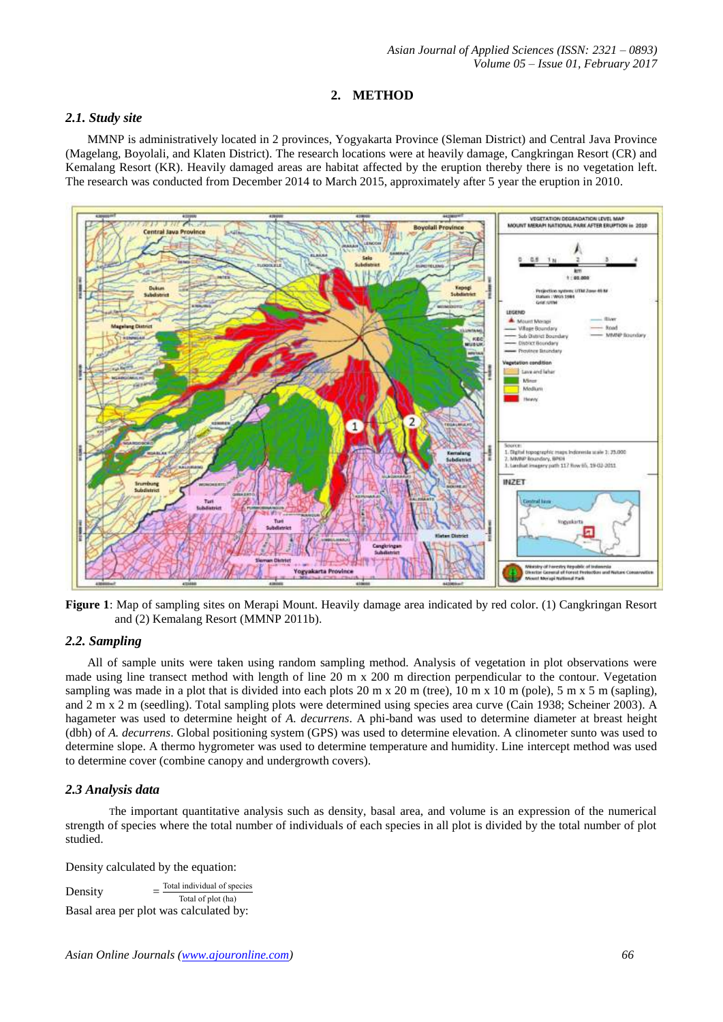## **2. METHOD**

### *2.1. Study site*

MMNP is administratively located in 2 provinces, Yogyakarta Province (Sleman District) and Central Java Province (Magelang, Boyolali, and Klaten District). The research locations were at heavily damage, Cangkringan Resort (CR) and Kemalang Resort (KR). Heavily damaged areas are habitat affected by the eruption thereby there is no vegetation left. The research was conducted from December 2014 to March 2015, approximately after 5 year the eruption in 2010.



**Figure 1**: Map of sampling sites on Merapi Mount. Heavily damage area indicated by red color. (1) Cangkringan Resort and (2) Kemalang Resort (MMNP 2011b).

#### *2.2. Sampling*

All of sample units were taken using random sampling method. Analysis of vegetation in plot observations were made using line transect method with length of line 20 m x 200 m direction perpendicular to the contour. Vegetation sampling was made in a plot that is divided into each plots 20 m x 20 m (tree), 10 m x 10 m (pole), 5 m x 5 m (sapling), and 2 m x 2 m (seedling). Total sampling plots were determined using species area curve (Cain 1938; Scheiner 2003). A hagameter was used to determine height of *A. decurrens*. A phi-band was used to determine diameter at breast height (dbh) of *A. decurrens*. Global positioning system (GPS) was used to determine elevation. A clinometer sunto was used to determine slope. A thermo hygrometer was used to determine temperature and humidity. Line intercept method was used to determine cover (combine canopy and undergrowth covers).

## *2.3 Analysis data*

The important quantitative analysis such as density, basal area, and volume is an expression of the numerical strength of species where the total number of individuals of each species in all plot is divided by the total number of plot studied.

Density calculated by the equation:

Density Total individual of species Total of plot (ha) Basal area per plot was calculated by: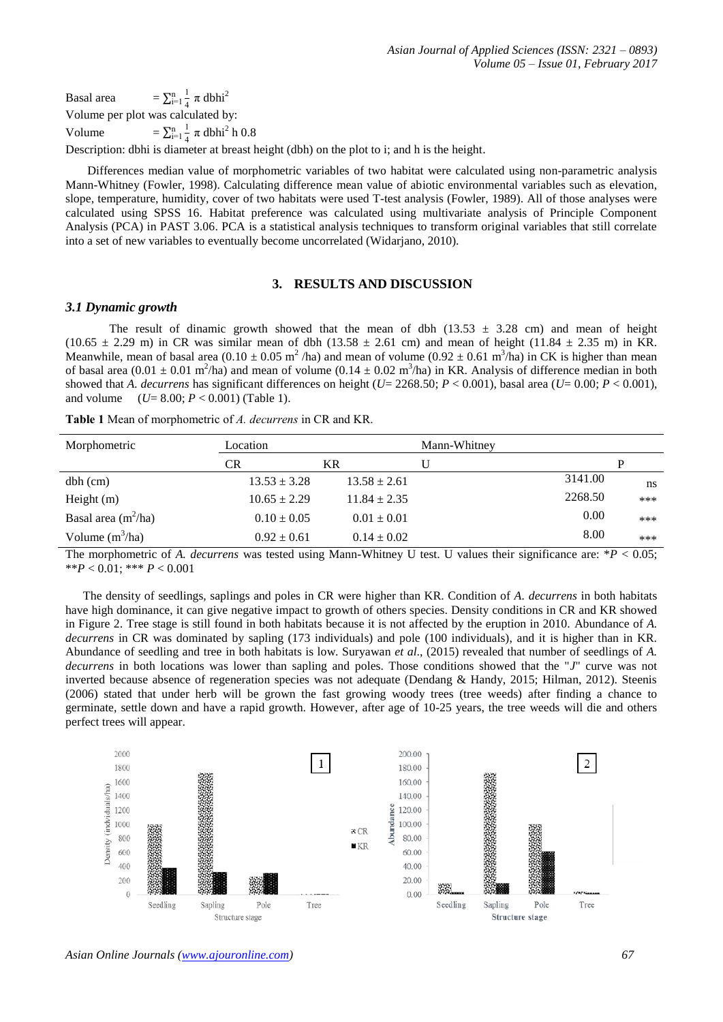Basal area  $\mathbf{1}$  $\overline{\mathcal{L}}$  $\lim_{i=1}^n \frac{1}{4} \pi$  dbhi<sup>2</sup> Volume per plot was calculated by: Volume  $\mathbf{1}$  $\overline{\mathcal{L}}$  $\frac{n}{i=1}$   $\frac{1}{4}$   $\pi$  dbhi<sup>2</sup> h 0.8

Description: dbhi is diameter at breast height (dbh) on the plot to i; and h is the height.

Differences median value of morphometric variables of two habitat were calculated using non-parametric analysis Mann-Whitney (Fowler, 1998). Calculating difference mean value of abiotic environmental variables such as elevation, slope, temperature, humidity, cover of two habitats were used T-test analysis (Fowler, 1989). All of those analyses were calculated using SPSS 16. Habitat preference was calculated using multivariate analysis of Principle Component Analysis (PCA) in PAST 3.06. PCA is a statistical analysis techniques to transform original variables that still correlate into a set of new variables to eventually become uncorrelated (Widarjano, 2010).

#### **3. RESULTS AND DISCUSSION**

#### *3.1 Dynamic growth*

The result of dinamic growth showed that the mean of dbh  $(13.53 \pm 3.28 \text{ cm})$  and mean of height  $(10.65 \pm 2.29 \text{ m})$  in CR was similar mean of dbh  $(13.58 \pm 2.61 \text{ cm})$  and mean of height  $(11.84 \pm 2.35 \text{ m})$  in KR. Meanwhile, mean of basal area  $(0.10 \pm 0.05 \text{ m}^2/\text{ha})$  and mean of volume  $(0.92 \pm 0.61 \text{ m}^3/\text{ha})$  in CK is higher than mean of basal area  $(0.01 \pm 0.01 \text{ m}^2/\text{ha})$  and mean of volume  $(0.14 \pm 0.02 \text{ m}^3/\text{ha})$  in KR. Analysis of difference median in both showed that *A. decurrens* has significant differences on height ( $U=2268.50$ ;  $P < 0.001$ ), basal area ( $U=0.00$ ;  $P < 0.001$ ), and volume  $(U= 8.00; P < 0.001)$  (Table 1).

**Table 1** Mean of morphometric of *A. decurrens* in CR and KR.

| Morphometric          | Location         |                  | Mann-Whitney |         |     |
|-----------------------|------------------|------------------|--------------|---------|-----|
|                       | CR               | KR               | U            |         | P   |
| $dbh$ (cm)            | $13.53 \pm 3.28$ | $13.58 \pm 2.61$ |              | 3141.00 | ns  |
| Height $(m)$          | $10.65 \pm 2.29$ | $11.84 \pm 2.35$ |              | 2268.50 | *** |
| Basal area $(m^2/ha)$ | $0.10 \pm 0.05$  | $0.01 \pm 0.01$  |              | 0.00    | *** |
| Volume $(m^3/ha)$     | $0.92 \pm 0.61$  | $0.14 \pm 0.02$  |              | 8.00    | *** |

The morphometric of *A. decurrens* was tested using Mann-Whitney U test. U values their significance are: \**P* < 0.05; \*\**P* < 0.01; \*\*\* *P* < 0.001

The density of seedlings, saplings and poles in CR were higher than KR. Condition of *A. decurrens* in both habitats have high dominance, it can give negative impact to growth of others species. Density conditions in CR and KR showed in Figure 2. Tree stage is still found in both habitats because it is not affected by the eruption in 2010. Abundance of *A. decurrens* in CR was dominated by sapling (173 individuals) and pole (100 individuals), and it is higher than in KR. Abundance of seedling and tree in both habitats is low. Suryawan *et al*., (2015) revealed that number of seedlings of *A. decurrens* in both locations was lower than sapling and poles. Those conditions showed that the "*J*" curve was not inverted because absence of regeneration species was not adequate (Dendang & Handy, 2015; Hilman, 2012). Steenis (2006) stated that under herb will be grown the fast growing woody trees (tree weeds) after finding a chance to germinate, settle down and have a rapid growth. However, after age of 10-25 years, the tree weeds will die and others perfect trees will appear.

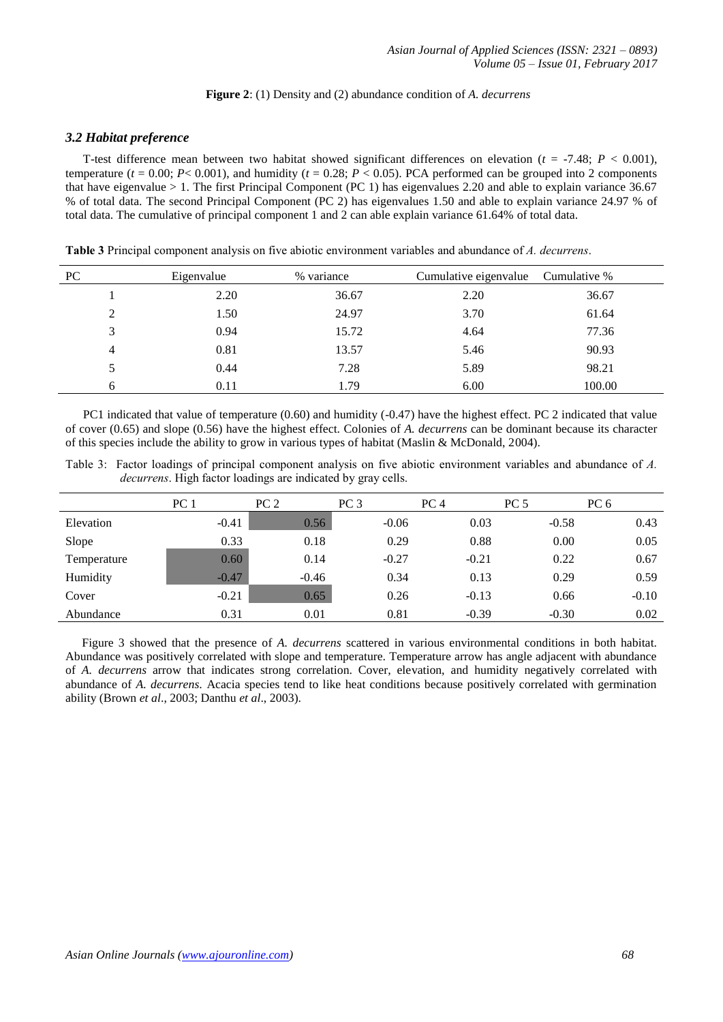#### **Figure 2**: (1) Density and (2) abundance condition of *A. decurrens*

#### *3.2 Habitat preference*

T-test difference mean between two habitat showed significant differences on elevation (*t* = -7.48; *P* < 0.001), temperature ( $t = 0.00$ ;  $P < 0.001$ ), and humidity ( $t = 0.28$ ;  $P < 0.05$ ). PCA performed can be grouped into 2 components that have eigenvalue  $> 1$ . The first Principal Component (PC 1) has eigenvalues 2.20 and able to explain variance 36.67 % of total data. The second Principal Component (PC 2) has eigenvalues 1.50 and able to explain variance 24.97 % of total data. The cumulative of principal component 1 and 2 can able explain variance 61.64% of total data.

| PC | Eigenvalue | % variance | Cumulative eigenvalue | Cumulative % |
|----|------------|------------|-----------------------|--------------|
|    | 2.20       | 36.67      | 2.20                  | 36.67        |
| 2  | 1.50       | 24.97      | 3.70                  | 61.64        |
| 3  | 0.94       | 15.72      | 4.64                  | 77.36        |
| 4  | 0.81       | 13.57      | 5.46                  | 90.93        |
|    | 0.44       | 7.28       | 5.89                  | 98.21        |
| 6  | 0.11       | 1.79       | 6.00                  | 100.00       |

**Table 3** Principal component analysis on five abiotic environment variables and abundance of *A. decurrens*.

PC1 indicated that value of temperature (0.60) and humidity (-0.47) have the highest effect. PC 2 indicated that value of cover (0.65) and slope (0.56) have the highest effect. Colonies of *A. decurrens* can be dominant because its character of this species include the ability to grow in various types of habitat (Maslin & McDonald, 2004).

Table 3: Factor loadings of principal component analysis on five abiotic environment variables and abundance of *A. decurrens*. High factor loadings are indicated by gray cells.

|             | PC <sub>1</sub> | PC <sub>2</sub> | PC <sub>3</sub> | PC <sub>4</sub> | PC <sub>5</sub> | PC 6    |
|-------------|-----------------|-----------------|-----------------|-----------------|-----------------|---------|
| Elevation   | $-0.41$         | 0.56            | $-0.06$         | 0.03            | $-0.58$         | 0.43    |
| Slope       | 0.33            | 0.18            | 0.29            | 0.88            | 0.00            | 0.05    |
| Temperature | 0.60            | 0.14            | $-0.27$         | $-0.21$         | 0.22            | 0.67    |
| Humidity    | $-0.47$         | $-0.46$         | 0.34            | 0.13            | 0.29            | 0.59    |
| Cover       | $-0.21$         | 0.65            | 0.26            | $-0.13$         | 0.66            | $-0.10$ |
| Abundance   | 0.31            | 0.01            | 0.81            | $-0.39$         | $-0.30$         | 0.02    |

Figure 3 showed that the presence of *A. decurrens* scattered in various environmental conditions in both habitat. Abundance was positively correlated with slope and temperature. Temperature arrow has angle adjacent with abundance of *A. decurrens* arrow that indicates strong correlation. Cover, elevation, and humidity negatively correlated with abundance of *A. decurrens*. Acacia species tend to like heat conditions because positively correlated with germination ability (Brown *et al*., 2003; Danthu *et al*., 2003).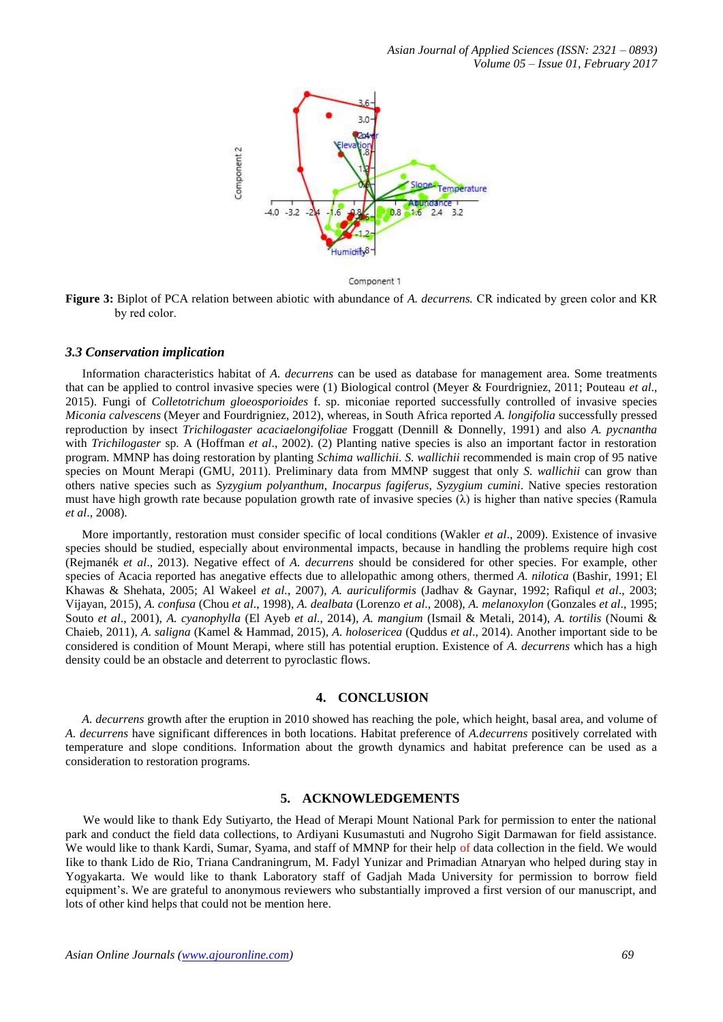

Component 1

**Figure 3:** Biplot of PCA relation between abiotic with abundance of *A. decurrens.* CR indicated by green color and KR by red color.

#### *3.3 Conservation implication*

Information characteristics habitat of *A. decurrens* can be used as database for management area. Some treatments that can be applied to control invasive species were (1) Biological control (Meyer & Fourdrigniez, 2011; Pouteau *et al*., 2015). Fungi of *Colletotrichum gloeosporioides* f. sp. miconiae reported successfully controlled of invasive species *Miconia calvescens* (Meyer and Fourdrigniez, 2012), whereas, in South Africa reported *A. longifolia* successfully pressed reproduction by insect *Trichilogaster acaciaelongifoliae* Froggatt (Dennill & Donnelly, 1991) and also *A. pycnantha* with *Trichilogaster* sp. A (Hoffman *et al*., 2002). (2) Planting native species is also an important factor in restoration program. MMNP has doing restoration by planting *Schima wallichii*. *S. wallichii* recommended is main crop of 95 native species on Mount Merapi (GMU, 2011). Preliminary data from MMNP suggest that only *S. wallichii* can grow than others native species such as *Syzygium polyanthum*, *Inocarpus fagiferus*, *Syzygium cumini*. Native species restoration must have high growth rate because population growth rate of invasive species  $(\lambda)$  is higher than native species (Ramula *et al*., 2008).

More importantly, restoration must consider specific of local conditions (Wakler *et al*., 2009). Existence of invasive species should be studied, especially about environmental impacts, because in handling the problems require high cost (Rejmanék *et al*., 2013). Negative effect of *A. decurrens* should be considered for other species. For example, other species of Acacia reported has anegative effects due to allelopathic among others, thermed *A. nilotica* (Bashir, 1991; El Khawas & Shehata, 2005; Al Wakeel *et al.*, 2007), *A. auriculiformis* (Jadhav & Gaynar, 1992; Rafiqul *et al*., 2003; Vijayan, 2015), *A. confusa* (Chou *et al*., 1998), *A. dealbata* (Lorenzo *et al*., 2008), *A. melanoxylon* (Gonzales *et al*., 1995; Souto *et al*., 2001), *A. cyanophylla* (El Ayeb *et al*., 2014), *A. mangium* (Ismail & Metali, 2014), *A. tortilis* (Noumi & Chaieb, 2011), *A. saligna* (Kamel & Hammad, 2015), *A. holosericea* (Quddus *et al*., 2014). Another important side to be considered is condition of Mount Merapi, where still has potential eruption. Existence of *A. decurrens* which has a high density could be an obstacle and deterrent to pyroclastic flows.

## **4. CONCLUSION**

*A. decurrens* growth after the eruption in 2010 showed has reaching the pole, which height, basal area, and volume of *A. decurrens* have significant differences in both locations. Habitat preference of *A.decurrens* positively correlated with temperature and slope conditions. Information about the growth dynamics and habitat preference can be used as a consideration to restoration programs.

#### **5. ACKNOWLEDGEMENTS**

We would like to thank Edy Sutiyarto, the Head of Merapi Mount National Park for permission to enter the national park and conduct the field data collections, to Ardiyani Kusumastuti and Nugroho Sigit Darmawan for field assistance. We would like to thank Kardi, Sumar, Syama, and staff of MMNP for their help of data collection in the field. We would Iike to thank Lido de Rio, Triana Candraningrum, M. Fadyl Yunizar and Primadian Atnaryan who helped during stay in Yogyakarta. We would like to thank Laboratory staff of Gadjah Mada University for permission to borrow field equipment's. We are grateful to anonymous reviewers who substantially improved a first version of our manuscript, and lots of other kind helps that could not be mention here.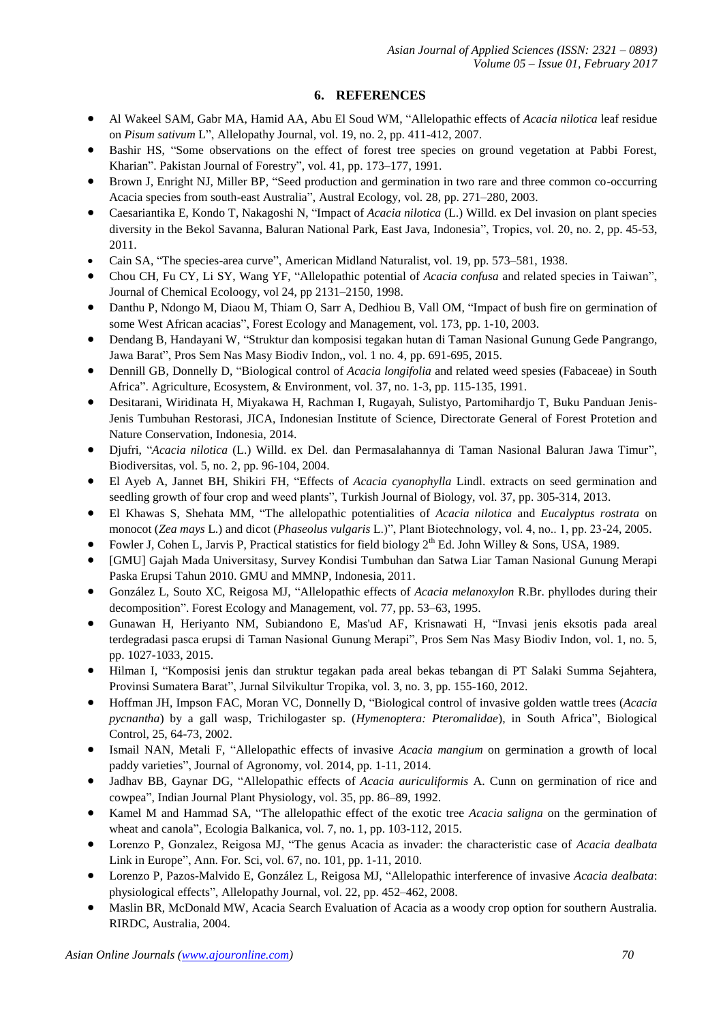## **6. REFERENCES**

- Al Wakeel SAM, Gabr MA, Hamid AA, Abu El Soud WM, "Allelopathic effects of *Acacia nilotica* leaf residue on *Pisum sativum* L", Allelopathy Journal, vol. 19, no. 2, pp. 411-412, 2007.
- Bashir HS, "Some observations on the effect of forest tree species on ground vegetation at Pabbi Forest, Kharian". Pakistan Journal of Forestry", vol. 41, pp. 173–177, 1991.
- Brown J, Enright NJ, Miller BP, "Seed production and germination in two rare and three common co-occurring Acacia species from south-east Australia", Austral Ecology, vol. 28, pp. 271–280, 2003.
- Caesariantika E, Kondo T, Nakagoshi N, "Impact of *Acacia nilotica* (L.) Willd. ex Del invasion on plant species diversity in the Bekol Savanna, Baluran National Park, East Java, Indonesia", Tropics, vol. 20, no. 2, pp. 45-53, 2011.
- Cain SA, "The species-area curve", American Midland Naturalist, vol. 19, pp. 573–581, 1938.
- Chou CH, Fu CY, Li SY, Wang YF, "Allelopathic potential of *Acacia confusa* and related species in Taiwan", Journal of Chemical Ecoloogy, vol 24, pp 2131–2150, 1998.
- Danthu P, Ndongo M, Diaou M, Thiam O, Sarr A, Dedhiou B, Vall OM, "Impact of bush fire on germination of some West African acacias", Forest Ecology and Management, vol. 173, pp. 1-10, 2003.
- Dendang B, Handayani W, "Struktur dan komposisi tegakan hutan di Taman Nasional Gunung Gede Pangrango, Jawa Barat", Pros Sem Nas Masy Biodiv Indon,, vol. 1 no. 4, pp. 691-695, 2015.
- Dennill GB, Donnelly D, "Biological control of *Acacia longifolia* and related weed spesies (Fabaceae) in South Africa". Agriculture, Ecosystem, & Environment, vol. 37, no. 1-3, pp. 115-135, 1991.
- Desitarani, Wiridinata H, Miyakawa H, Rachman I, Rugayah, Sulistyo, Partomihardjo T, Buku Panduan Jenis-Jenis Tumbuhan Restorasi, JICA, Indonesian Institute of Science, Directorate General of Forest Protetion and Nature Conservation, Indonesia, 2014.
- Djufri, "*Acacia nilotica* (L.) Willd. ex Del. dan Permasalahannya di Taman Nasional Baluran Jawa Timur", Biodiversitas, vol. 5, no. 2, pp. 96-104, 2004.
- El Ayeb A, Jannet BH, Shikiri FH, "Effects of *Acacia cyanophylla* Lindl. extracts on seed germination and seedling growth of four crop and weed plants", Turkish Journal of Biology, vol. 37, pp. 305-314, 2013.
- El Khawas S, Shehata MM, "The allelopathic potentialities of *Acacia nilotica* and *Eucalyptus rostrata* on monocot (Zea mays L.) and dicot (*Phaseolus vulgaris* L.)", Plant Biotechnology, vol. 4, no.. 1, pp. 23-24, 2005.
- Fowler J, Cohen L, Jarvis P, Practical statistics for field biology  $2<sup>th</sup>$  Ed. John Willey & Sons, USA, 1989.
- [GMU] Gajah Mada Universitasy, Survey Kondisi Tumbuhan dan Satwa Liar Taman Nasional Gunung Merapi Paska Erupsi Tahun 2010. GMU and MMNP, Indonesia, 2011.
- González L, Souto XC, Reigosa MJ, "Allelopathic effects of *Acacia melanoxylon* R.Br. phyllodes during their decomposition". Forest Ecology and Management, vol. 77, pp. 53–63, 1995.
- Gunawan H, Heriyanto NM, Subiandono E, Mas'ud AF, Krisnawati H, "Invasi jenis eksotis pada areal terdegradasi pasca erupsi di Taman Nasional Gunung Merapi", Pros Sem Nas Masy Biodiv Indon, vol. 1, no. 5, pp. 1027-1033, 2015.
- Hilman I, "Komposisi jenis dan struktur tegakan pada areal bekas tebangan di PT Salaki Summa Sejahtera, Provinsi Sumatera Barat", Jurnal Silvikultur Tropika, vol. 3, no. 3, pp. 155-160, 2012.
- Hoffman JH, Impson FAC, Moran VC, Donnelly D, "Biological control of invasive golden wattle trees (*Acacia pycnantha*) by a gall wasp, Trichilogaster sp. (*Hymenoptera: Pteromalidae*), in South Africa", Biological Control, 25, 64-73, 2002.
- Ismail NAN, Metali F, "Allelopathic effects of invasive *Acacia mangium* on germination a growth of local paddy varieties", Journal of Agronomy, vol. 2014, pp. 1-11, 2014.
- Jadhav BB, Gaynar DG, "Allelopathic effects of *Acacia auriculiformis* A. Cunn on germination of rice and cowpea", Indian Journal Plant Physiology, vol. 35, pp. 86–89, 1992.
- Kamel M and Hammad SA, "The allelopathic effect of the exotic tree *Acacia saligna* on the germination of wheat and canola", Ecologia Balkanica, vol. 7, no. 1, pp. 103-112, 2015.
- Lorenzo P, Gonzalez, Reigosa MJ, "The genus Acacia as invader: the characteristic case of *Acacia dealbata* Link in Europe", Ann. For. Sci, vol. 67, no. 101, pp. 1-11, 2010.
- Lorenzo P, Pazos-Malvido E, González L, Reigosa MJ, "Allelopathic interference of invasive *Acacia dealbata*: physiological effects", Allelopathy Journal, vol. 22, pp. 452–462, 2008.
- Maslin BR, McDonald MW, Acacia Search Evaluation of Acacia as a woody crop option for southern Australia. RIRDC, Australia, 2004.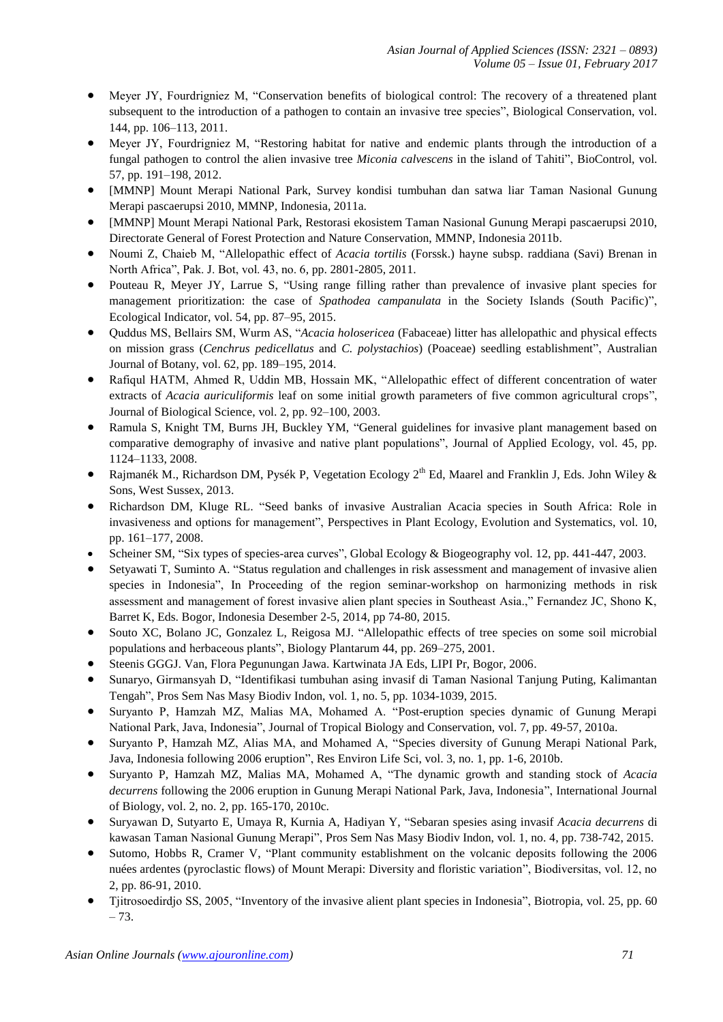- Meyer JY, Fourdrigniez M, "Conservation benefits of biological control: The recovery of a threatened plant subsequent to the introduction of a pathogen to contain an invasive tree species", Biological Conservation, vol. 144, pp. 106–113, 2011.
- Meyer JY, Fourdrigniez M, "Restoring habitat for native and endemic plants through the introduction of a fungal pathogen to control the alien invasive tree *Miconia calvescens* in the island of Tahiti", BioControl, vol. 57, pp. 191–198, 2012.
- [MMNP] Mount Merapi National Park, Survey kondisi tumbuhan dan satwa liar Taman Nasional Gunung Merapi pascaerupsi 2010, MMNP, Indonesia, 2011a.
- [MMNP] Mount Merapi National Park, Restorasi ekosistem Taman Nasional Gunung Merapi pascaerupsi 2010, Directorate General of Forest Protection and Nature Conservation, MMNP, Indonesia 2011b.
- Noumi Z, Chaieb M, "Allelopathic effect of *Acacia tortilis* (Forssk.) hayne subsp. raddiana (Savi) Brenan in North Africa", Pak. J. Bot, vol. 43, no. 6, pp. 2801-2805, 2011.
- Pouteau R, Meyer JY, Larrue S, "Using range filling rather than prevalence of invasive plant species for management prioritization: the case of *Spathodea campanulata* in the Society Islands (South Pacific)", Ecological Indicator, vol. 54, pp. 87–95, 2015.
- Quddus MS, Bellairs SM, Wurm AS, "*Acacia holosericea* (Fabaceae) litter has allelopathic and physical effects on mission grass (*Cenchrus pedicellatus* and *C. polystachios*) (Poaceae) seedling establishment", Australian Journal of Botany, vol. 62, pp. 189–195, 2014.
- Rafiqul HATM, Ahmed R, Uddin MB, Hossain MK, "Allelopathic effect of different concentration of water extracts of *Acacia auriculiformis* leaf on some initial growth parameters of five common agricultural crops", Journal of Biological Science, vol. 2, pp. 92–100, 2003.
- Ramula S, Knight TM, Burns JH, Buckley YM, "General guidelines for invasive plant management based on comparative demography of invasive and native plant populations", Journal of Applied Ecology, vol. 45, pp. 1124–1133, 2008.
- Rajmanék M., Richardson DM, Pysék P, Vegetation Ecology 2<sup>th</sup> Ed, Maarel and Franklin J, Eds. John Wiley & Sons, West Sussex, 2013.
- Richardson DM, Kluge RL. "Seed banks of invasive Australian Acacia species in South Africa: Role in invasiveness and options for management", Perspectives in Plant Ecology, Evolution and Systematics, vol. 10, pp. 161–177, 2008.
- Scheiner SM, "Six types of species-area curves", Global Ecology & Biogeography vol. 12, pp. 441-447, 2003.
- Setyawati T, Suminto A. "Status regulation and challenges in risk assessment and management of invasive alien species in Indonesia", In Proceeding of the region seminar-workshop on harmonizing methods in risk assessment and management of forest invasive alien plant species in Southeast Asia.," Fernandez JC, Shono K, Barret K, Eds. Bogor, Indonesia Desember 2-5, 2014, pp 74-80, 2015.
- Souto XC, Bolano JC, Gonzalez L, Reigosa MJ. "Allelopathic effects of tree species on some soil microbial populations and herbaceous plants", Biology Plantarum 44, pp. 269–275, 2001.
- Steenis GGGJ. Van, Flora Pegunungan Jawa. Kartwinata JA Eds, LIPI Pr, Bogor, 2006.
- Sunaryo, Girmansyah D, "Identifikasi tumbuhan asing invasif di Taman Nasional Tanjung Puting, Kalimantan Tengah", Pros Sem Nas Masy Biodiv Indon, vol. 1, no. 5, pp. 1034-1039, 2015.
- Suryanto P, Hamzah MZ, Malias MA, Mohamed A. "Post-eruption species dynamic of Gunung Merapi National Park, Java, Indonesia", Journal of Tropical Biology and Conservation, vol. 7, pp. 49-57, 2010a.
- Suryanto P, Hamzah MZ, Alias MA, and Mohamed A, "Species diversity of Gunung Merapi National Park, Java, Indonesia following 2006 eruption", Res Environ Life Sci, vol. 3, no. 1, pp. 1-6, 2010b.
- Suryanto P, Hamzah MZ, Malias MA, Mohamed A, "The dynamic growth and standing stock of *Acacia decurrens* following the 2006 eruption in Gunung Merapi National Park, Java, Indonesia", International Journal of Biology, vol. 2, no. 2, pp. 165-170, 2010c.
- Suryawan D, Sutyarto E, Umaya R, Kurnia A, Hadiyan Y, "Sebaran spesies asing invasif *Acacia decurrens* di kawasan Taman Nasional Gunung Merapi", Pros Sem Nas Masy Biodiv Indon, vol. 1, no. 4, pp. 738-742, 2015.
- Sutomo, Hobbs R, Cramer V, "Plant community establishment on the volcanic deposits following the 2006 nuées ardentes (pyroclastic flows) of Mount Merapi: Diversity and floristic variation", Biodiversitas, vol. 12, no 2, pp. 86-91, 2010.
- Tiitrosoedirdjo SS, 2005, "Inventory of the invasive alient plant species in Indonesia", Biotropia, vol. 25, pp. 60 – 73.